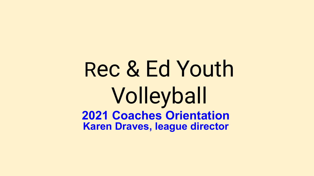# Rec & Ed Youth Volleyball **2021 Coaches Orientation Karen Draves, league director**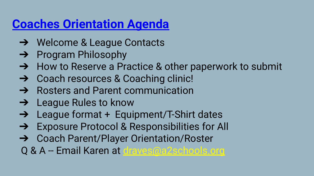## **Coaches Orientation Agenda**

- ➔ Welcome & League Contacts
- **→** Program Philosophy
- ➔ How to Reserve a Practice & other paperwork to submit
- **→** Coach resources & Coaching clinic!
- **→** Rosters and Parent communication
- **→** League Rules to know
- → League format + Equipment/T-Shirt dates
- ➔ Exposure Protocol & Responsibilities for All
- ➔ Coach Parent/Player Orientation/Roster
- Q & A -- Email Karen at [draves@a2schools.org](mailto:draves@a2schools.org)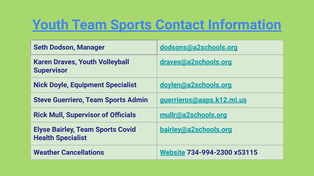## **Youth Team Sports Contact Information**

| <b>Seth Dodson, Manager</b>                                         | dodsons@a2schools.org              |
|---------------------------------------------------------------------|------------------------------------|
| <b>Karen Draves, Youth Volleyball</b><br><b>Supervisor</b>          | draves@a2schools.org               |
| <b>Nick Doyle, Equipment Specialist</b>                             | doylen@a2schools.org               |
| <b>Steve Guerriero, Team Sports Admin</b>                           | guerrieros@aaps.k12.mi.us          |
| <b>Rick Mull, Supervisor of Officials</b>                           | mullr@a2schools.org                |
| <b>Elyse Bairley, Team Sports Covid</b><br><b>Health Specialist</b> | bairley@a2schools.org              |
| <b>Weather Cancellations</b>                                        | <b>Website 734-994-2300 x53115</b> |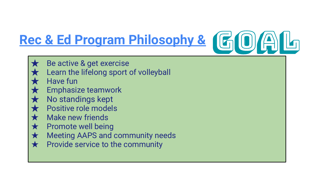# **Rec & Ed Program Philosophy &**

- Be active & get exercise
	- Learn the lifelong sport of volleyball
- Have fun
- **Emphasize teamwork**
- No standings kept
- Positive role models
- **★** Make new friends
- $\star$  Promote well being
- ★ Meeting AAPS and community needs
- $\star$  Provide service to the community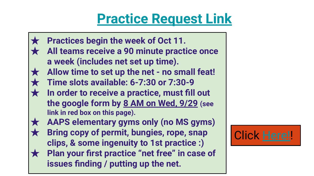## **[Practice Request Link](https://forms.gle/mBSWJZ3cSeAJegPb9)**



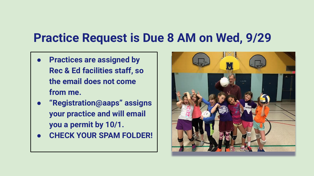### **Practice Request is Due 8 AM on Wed, 9/29**

- **● Practices are assigned by Rec & Ed facilities staff, so the email does not come from me.**
- **● "Registration@aaps" assigns your practice and will email you a permit by 10/1.**
- **● CHECK YOUR SPAM FOLDER!**

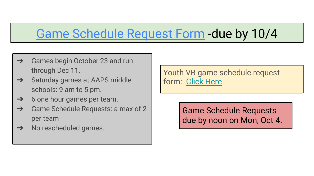## Game Schedule Request Form -due by 10/4

- $\rightarrow$  Games begin October 23 and run through Dec 11.
- **→** Saturday games at AAPS middle schools: 9 am to 5 pm.
- $\rightarrow$  6 one hour games per team.
- $\rightarrow$  Game Schedule Requests: a max of 2 per team
- $\rightarrow$  No rescheduled games.

Youth VB game schedule request form: [Click Here](https://forms.gle/gvQ9iCMJn9UomemXA)

> Game Schedule Requests due by noon on Mon, Oct 4.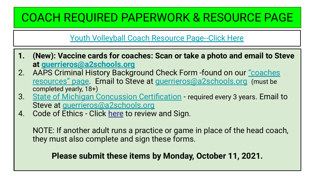### COACH REQUIRED PAPERWORK & RESOURCE PAGE

### [Youth Volleyball Coach Resource Page--Click Here](https://www.a2schools.org/Page/17827)

- **1. (New): Vaccine cards for coaches: Scan or take a photo and email to Steve at [guerrieros@a2schools.org](mailto:guerrieros@a2schools.org)**
- 2. AAPS Criminal History Background Check Form -found on our ["coaches](https://www.a2schools.org/Page/17827) [resources" page](https://www.a2schools.org/Page/17827). Email to Steve at [guerrieros@a2schools.org](mailto:guerrieros@a2schools.org) (must be completed yearly, 18+)
- 3. [State of Michigan Concussion Certification](https://www.cdc.gov/headsup/youthsports/training/index.html)  required every 3 years. Email to Steve at [guerrieros@a2schools.org](mailto:guerrieros@a2schools.org)
- 4. Code of Ethics Click [here](https://docs.google.com/a/aaps.k12.mi.us/forms/d/e/1FAIpQLSdCTTCjji3PlhusZtvLtc5gTHjoLqmhnv0Zbawh_aCp50AKYQ/viewform?c=0&w=1&usp=send_form) to review and Sign.

NOTE: If another adult runs a practice or game in place of the head coach, they must also complete and sign these forms.

### **Please submit these items by Monday, October 11, 2021.**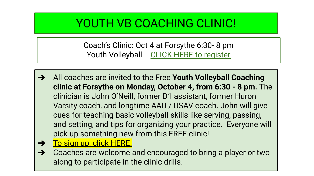### YOUTH VB COACHING CLINIC!

Coach's Clinic: Oct 4 at Forsythe 6:30- 8 pm Youth Volleyball -- [CLICK HERE to register](https://forms.gle/PoWqKFHkih985TZ7A)

- ➔ All coaches are invited to the Free **Youth Volleyball Coaching clinic at Forsythe on Monday, October 4, from 6:30 - 8 pm.** The clinician is John O'Neill, former D1 assistant, former Huron Varsity coach, and longtime AAU / USAV coach. John will give cues for teaching basic volleyball skills like serving, passing, and setting, and tips for organizing your practice. Everyone will pick up something new from this FREE clinic!
- → [To sign up, click HERE.](https://forms.gle/PoWqKFHkih985TZ7A)
- ➔ Coaches are welcome and encouraged to bring a player or two along to participate in the clinic drills.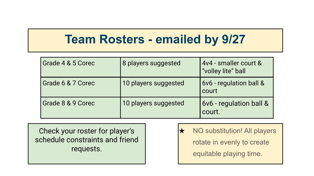### **Team Rosters - emailed by 9/27**

| Grade 4 & 5 Corec | 8 players suggested  | 4v4 - smaller court &<br>"volley lite" ball |
|-------------------|----------------------|---------------------------------------------|
| Grade 6 & 7 Corec | 10 players suggested | 6v6 - regulation ball &<br>court            |
| Grade 8 & 9 Corec | 10 players suggested | 6v6 - regulation ball &<br>court.           |

Check your roster for player's schedule constraints and friend requests.

**★** NO substitution! All players rotate in evenly to create equitable playing time.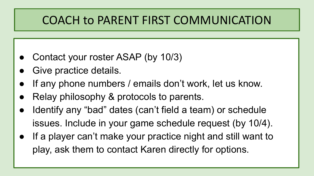### COACH to PARENT FIRST COMMUNICATION

- Contact your roster ASAP (by 10/3)
- Give practice details.
- If any phone numbers / emails don't work, let us know.
- Relay philosophy & protocols to parents.
- Identify any "bad" dates (can't field a team) or schedule issues. Include in your game schedule request (by 10/4).
- If a player can't make your practice night and still want to play, ask them to contact Karen directly for options.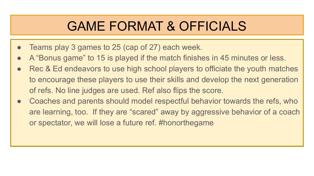## GAME FORMAT & OFFICIALS

- Teams play 3 games to 25 (cap of 27) each week.
- A "Bonus game" to 15 is played if the match finishes in 45 minutes or less.
- Rec & Ed endeavors to use high school players to officiate the youth matches to encourage these players to use their skills and develop the next generation of refs. No line judges are used. Ref also flips the score.
- Coaches and parents should model respectful behavior towards the refs, who are learning, too. If they are "scared" away by aggressive behavior of a coach or spectator, we will lose a future ref. #honorthegame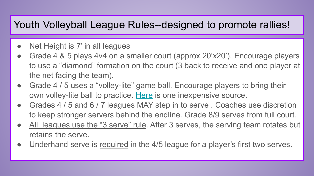### Youth Volleyball League Rules--designed to promote rallies!

- Net Height is 7' in all leagues
- Grade 4 & 5 plays 4v4 on a smaller court (approx 20'x20'). Encourage players to use a "diamond" formation on the court (3 back to receive and one player at the net facing the team).
- Grade 4 / 5 uses a "volley-lite" game ball. Encourage players to bring their own volley-lite ball to practice. [Here](https://volleyball.epicsports.com/prod/3882/index.html?trk=900084648&msclkid=2e093b3e7228125fa4fe5a7d49920fad) is one inexpensive source.
- Grades 4 / 5 and 6 / 7 leagues MAY step in to serve. Coaches use discretion to keep stronger servers behind the endline. Grade 8/9 serves from full court.
- All leagues use the "3 serve" rule. After 3 serves, the serving team rotates but retains the serve.
- Underhand serve is required in the 4/5 league for a player's first two serves.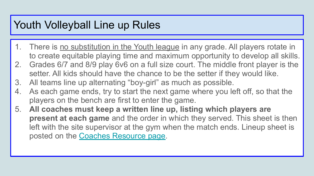### Youth Volleyball Line up Rules

- 1. There is no substitution in the Youth league in any grade. All players rotate in to create equitable playing time and maximum opportunity to develop all skills.
- 2. Grades 6/7 and 8/9 play 6v6 on a full size court. The middle front player is the setter. All kids should have the chance to be the setter if they would like.
- 3. All teams line up alternating "boy-girl" as much as possible.
- 4. As each game ends, try to start the next game where you left off, so that the players on the bench are first to enter the game.
- 5. **All coaches must keep a written line up, listing which players are present at each game** and the order in which they served. This sheet is then left with the site supervisor at the gym when the match ends. Lineup sheet is posted on the [Coaches Resource page.](https://www.a2schools.org/Page/17827)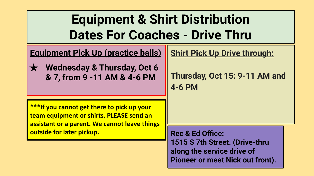## **Equipment & Shirt Distribution Dates For Coaches - Drive Thru**

**Equipment Pick Up (practice balls)**

**Wednesday & Thursday, Oct 6 & 7, from 9 -11 AM & 4-6 PM**

**Shirt Pick Up Drive through:**

**Thursday, Oct 15: 9-11 AM and 4-6 PM**

**\*\*\*If you cannot get there to pick up your team equipment or shirts, PLEASE send an assistant or a parent. We cannot leave things outside for later pickup.**

**Rec & Ed Office: 1515 S 7th Street. (Drive-thru along the service drive of Pioneer or meet Nick out front).**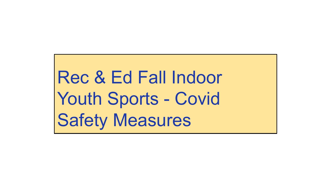Rec & Ed Fall Indoor Youth Sports - Covid Safety Measures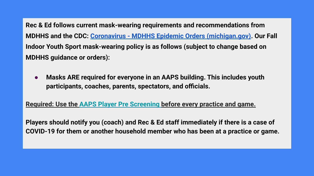**Rec & Ed follows current mask-wearing requirements and recommendations from MDHHS and the CDC: [Coronavirus - MDHHS Epidemic Orders \(michigan.gov\).](https://www.michigan.gov/coronavirus/0,9753,7-406-98178_98455-533660--,00.html) Our Fall Indoor Youth Sport mask-wearing policy is as follows (subject to change based on MDHHS guidance or orders):**

**● Masks ARE required for everyone in an AAPS building. This includes youth participants, coaches, parents, spectators, and officials.** 

**Required: Use the [AAPS Player Pre Screening b](https://www.a2schools.org/cms/lib/MI01907933/Centricity/Domain/1359/Daily%20Student%20Pre-Screening%20for%20COVID-19%20Symptoms%202019-09-17.pdf)efore every practice and game.**

**Players should notify you (coach) and Rec & Ed staff immediately if there is a case of COVID-19 for them or another household member who has been at a practice or game.**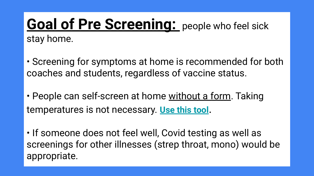## **Goal of Pre Screening:** people who feel sick stay home.

• Screening for symptoms at home is recommended for both coaches and students, regardless of vaccine status.

• People can self-screen at home without a form. Taking temperatures is not necessary. **[Use this tool](https://www.a2schools.org/cms/lib/MI01907933/Centricity/Domain/1359/Daily%20Student%20Pre-Screening%20for%20COVID-19%20Symptoms%202019-09-17.pdf)**.

• If someone does not feel well, Covid testing as well as screenings for other illnesses (strep throat, mono) would be appropriate.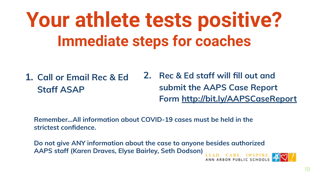# **Your athlete tests positive? Immediate steps for coaches**

**1. Call or Email Rec & Ed Staff ASAP 2. Rec & Ed staff will fill out and submit the AAPS Case Report Form <http://bit.ly/AAPSCaseReport>**

**Remember...All information about COVID-19 cases must be held in the strictest confidence.** 

**Do not give ANY information about the case to anyone besides authorized AAPS staff (Karen Draves, Elyse Bairley, Seth Dodson)**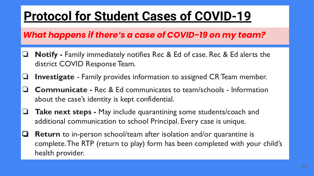## **Protocol for Student Cases of COVID-19**

### *What happens if there's a case of COVID-19 on my team?*

- ❏ **Notify** Family immediately notifies Rec & Ed of case. Rec & Ed alerts the district COVID Response Team.
- ❏ **Investigate** Family provides information to assigned CR Team member.
- ❏ **Communicate** Rec & Ed communicates to team/schools Information about the case's identity is kept confidential.
- ❏ **Take next steps** May include quarantining some students/coach and additional communication to school Principal. Every case is unique.
- ❏ **Return** to in-person school/team after isolation and/or quarantine is complete. The RTP (return to play) form has been completed with your child's health provider.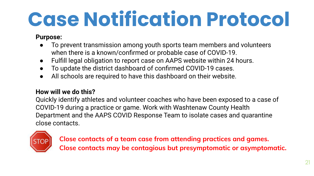# **Case Notification Protocol**

### **Purpose:**

- To prevent transmission among youth sports team members and volunteers when there is a known/confirmed or probable case of COVID-19.
- Fulfill legal obligation to report case on AAPS website within 24 hours.
- To update the district dashboard of confirmed COVID-19 cases.
- All schools are required to have this dashboard on their website.

### **How will we do this?**

Quickly identify athletes and volunteer coaches who have been exposed to a case of COVID-19 during a practice or game. Work with Washtenaw County Health Department and the AAPS COVID Response Team to isolate cases and quarantine close contacts.



**Close contacts of a team case from attending practices and games. Close contacts may be contagious but presymptomatic or asymptomatic.**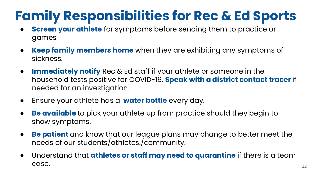## **Family Responsibilities for Rec & Ed Sports**

- **Screen your athlete** for symptoms before sending them to practice or games
- **Keep family members home** when they are exhibiting any symptoms of sickness.
- **Immediately notify** Rec & Ed staff if your athlete or someone in the household tests positive for COVID-19. **Speak with a district contact tracer** if needed for an investigation.
- Ensure your athlete has a **water bottle** every day.
- **Be available** to pick your athlete up from practice should they begin to show symptoms.
- **Be patient** and know that our league plans may change to better meet the needs of our students/athletes./community.
- Understand that **athletes or staff may need to quarantine** if there is a team  $\text{case.}$  22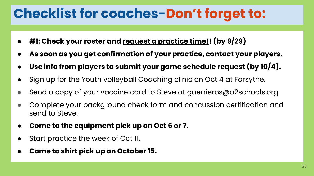## **Checklist for coaches-Don't forget to:**

- **#1: Check your roster and request a practice time!! (by 9/29)**
- As soon as you get confirmation of your practice, contact your players.
- Use info from players to submit your game schedule request (by 10/4).
- Sign up for the Youth volleyball Coaching clinic on Oct 4 at Forsythe.
- Send a copy of your vaccine card to Steve at guerrieros@a2schools.org
- Complete your background check form and concussion certification and send to Steve.
- **Come to the equipment pick up on Oct 6 or 7.**
- Start practice the week of Oct 11.
- **● Come to shirt pick up on October 15.**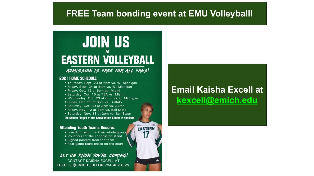### **FREE Team bonding event at EMU Volleyball!**

EASTERN

## **JOIN US EASTERN VOLLEYBALL**

#### ADMISSION IS FREE FOR ALL FANS!

#### **2021 HOME SCHEDULE:**

- · Thursday, Sept. 23 at 6pm vs. W. Michigan
- · Friday, Sept. 24 at 3pm vs. W. Michigan
- · Friday, Oct. 15 at 6pm vs. Miami
- · Saturday, Oct. 16 at TBA vs. Miami
- Wednesday, Oct. 20 at 6pm vs. C. Michigan
- · Friday, Oct. 29 at 6pm vs. Buffalo
- · Saturday, Oct. 30 at 3pm vs. Akron
- Friday, Nov. 12 at 2pm vs. Ball State
- · Saturday, Nov. 13 at 2pm vs. Ball State

[All Games Played at the Convocation Center in Ypsilanti]

#### **Attending Youth Teams Receive:**

- Free Admission for their whole group.
- Vouchers for the concession stand
- Signed posters from the team
- . Post-game team photo on the court

#### LET US KNOW YOU'RE COMING! **CONTACT KAISHA EXCELL AT**

KEXCELL@EMICH.EDU OR 734.487.8526

### **Email Kaisha Excell at [kexcell@emich.edu](mailto:kexcell@emich.edu)**